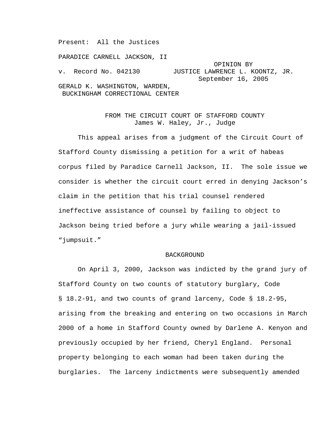Present: All the Justices

PARADICE CARNELL JACKSON, II OPINION BY v. Record No. 042130 JUSTICE LAWRENCE L. KOONTZ, JR. September 16, 2005 GERALD K. WASHINGTON, WARDEN, BUCKINGHAM CORRECTIONAL CENTER

# FROM THE CIRCUIT COURT OF STAFFORD COUNTY James W. Haley, Jr., Judge

This appeal arises from a judgment of the Circuit Court of Stafford County dismissing a petition for a writ of habeas corpus filed by Paradice Carnell Jackson, II. The sole issue we consider is whether the circuit court erred in denying Jackson's claim in the petition that his trial counsel rendered ineffective assistance of counsel by failing to object to Jackson being tried before a jury while wearing a jail-issued "jumpsuit."

### BACKGROUND

On April 3, 2000, Jackson was indicted by the grand jury of Stafford County on two counts of statutory burglary, Code § 18.2-91, and two counts of grand larceny, Code § 18.2-95, arising from the breaking and entering on two occasions in March 2000 of a home in Stafford County owned by Darlene A. Kenyon and previously occupied by her friend, Cheryl England. Personal property belonging to each woman had been taken during the burglaries. The larceny indictments were subsequently amended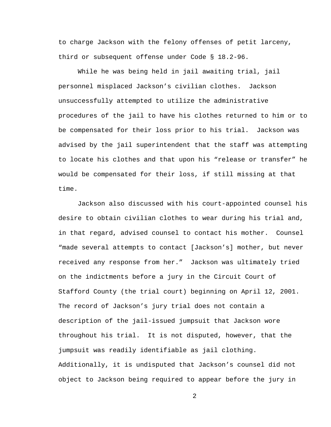to charge Jackson with the felony offenses of petit larceny, third or subsequent offense under Code § 18.2-96.

While he was being held in jail awaiting trial, jail personnel misplaced Jackson's civilian clothes. Jackson unsuccessfully attempted to utilize the administrative procedures of the jail to have his clothes returned to him or to be compensated for their loss prior to his trial. Jackson was advised by the jail superintendent that the staff was attempting to locate his clothes and that upon his "release or transfer" he would be compensated for their loss, if still missing at that time.

Jackson also discussed with his court-appointed counsel his desire to obtain civilian clothes to wear during his trial and, in that regard, advised counsel to contact his mother. Counsel "made several attempts to contact [Jackson's] mother, but never received any response from her." Jackson was ultimately tried on the indictments before a jury in the Circuit Court of Stafford County (the trial court) beginning on April 12, 2001. The record of Jackson's jury trial does not contain a description of the jail-issued jumpsuit that Jackson wore throughout his trial. It is not disputed, however, that the jumpsuit was readily identifiable as jail clothing. Additionally, it is undisputed that Jackson's counsel did not object to Jackson being required to appear before the jury in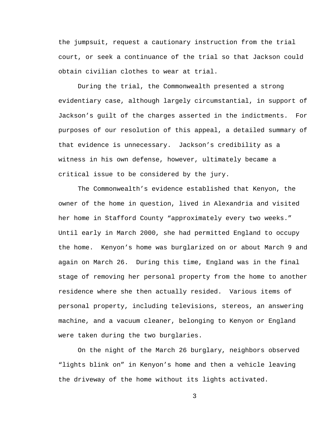the jumpsuit, request a cautionary instruction from the trial court, or seek a continuance of the trial so that Jackson could obtain civilian clothes to wear at trial.

During the trial, the Commonwealth presented a strong evidentiary case, although largely circumstantial, in support of Jackson's guilt of the charges asserted in the indictments. For purposes of our resolution of this appeal, a detailed summary of that evidence is unnecessary. Jackson's credibility as a witness in his own defense, however, ultimately became a critical issue to be considered by the jury.

The Commonwealth's evidence established that Kenyon, the owner of the home in question, lived in Alexandria and visited her home in Stafford County "approximately every two weeks." Until early in March 2000, she had permitted England to occupy the home. Kenyon's home was burglarized on or about March 9 and again on March 26. During this time, England was in the final stage of removing her personal property from the home to another residence where she then actually resided. Various items of personal property, including televisions, stereos, an answering machine, and a vacuum cleaner, belonging to Kenyon or England were taken during the two burglaries.

On the night of the March 26 burglary, neighbors observed "lights blink on" in Kenyon's home and then a vehicle leaving the driveway of the home without its lights activated.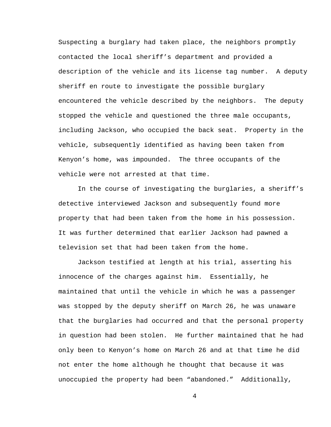Suspecting a burglary had taken place, the neighbors promptly contacted the local sheriff's department and provided a description of the vehicle and its license tag number. A deputy sheriff en route to investigate the possible burglary encountered the vehicle described by the neighbors. The deputy stopped the vehicle and questioned the three male occupants, including Jackson, who occupied the back seat. Property in the vehicle, subsequently identified as having been taken from Kenyon's home, was impounded. The three occupants of the vehicle were not arrested at that time.

In the course of investigating the burglaries, a sheriff's detective interviewed Jackson and subsequently found more property that had been taken from the home in his possession. It was further determined that earlier Jackson had pawned a television set that had been taken from the home.

Jackson testified at length at his trial, asserting his innocence of the charges against him. Essentially, he maintained that until the vehicle in which he was a passenger was stopped by the deputy sheriff on March 26, he was unaware that the burglaries had occurred and that the personal property in question had been stolen. He further maintained that he had only been to Kenyon's home on March 26 and at that time he did not enter the home although he thought that because it was unoccupied the property had been "abandoned." Additionally,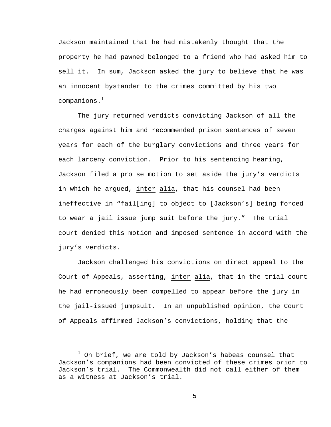Jackson maintained that he had mistakenly thought that the property he had pawned belonged to a friend who had asked him to sell it. In sum, Jackson asked the jury to believe that he was an innocent bystander to the crimes committed by his two  $companions.<sup>1</sup>$ 

The jury returned verdicts convicting Jackson of all the charges against him and recommended prison sentences of seven years for each of the burglary convictions and three years for each larceny conviction. Prior to his sentencing hearing, Jackson filed a pro se motion to set aside the jury's verdicts in which he argued, inter alia, that his counsel had been ineffective in "fail[ing] to object to [Jackson's] being forced to wear a jail issue jump suit before the jury." The trial court denied this motion and imposed sentence in accord with the jury's verdicts.

Jackson challenged his convictions on direct appeal to the Court of Appeals, asserting, inter alia, that in the trial court he had erroneously been compelled to appear before the jury in the jail-issued jumpsuit. In an unpublished opinion, the Court of Appeals affirmed Jackson's convictions, holding that the

i<br>Li

 $^1$  On brief, we are told by Jackson's habeas counsel that Jackson's companions had been convicted of these crimes prior to Jackson's trial. The Commonwealth did not call either of them as a witness at Jackson's trial.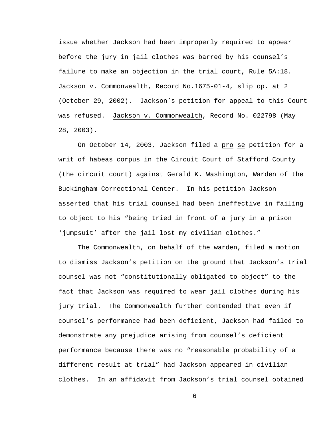issue whether Jackson had been improperly required to appear before the jury in jail clothes was barred by his counsel's failure to make an objection in the trial court, Rule 5A:18. Jackson v. Commonwealth, Record No.1675-01-4, slip op. at 2 (October 29, 2002). Jackson's petition for appeal to this Court was refused. Jackson v. Commonwealth, Record No. 022798 (May 28, 2003).

On October 14, 2003, Jackson filed a pro se petition for a writ of habeas corpus in the Circuit Court of Stafford County (the circuit court) against Gerald K. Washington, Warden of the Buckingham Correctional Center. In his petition Jackson asserted that his trial counsel had been ineffective in failing to object to his "being tried in front of a jury in a prison 'jumpsuit' after the jail lost my civilian clothes."

The Commonwealth, on behalf of the warden, filed a motion to dismiss Jackson's petition on the ground that Jackson's trial counsel was not "constitutionally obligated to object" to the fact that Jackson was required to wear jail clothes during his jury trial. The Commonwealth further contended that even if counsel's performance had been deficient, Jackson had failed to demonstrate any prejudice arising from counsel's deficient performance because there was no "reasonable probability of a different result at trial" had Jackson appeared in civilian clothes. In an affidavit from Jackson's trial counsel obtained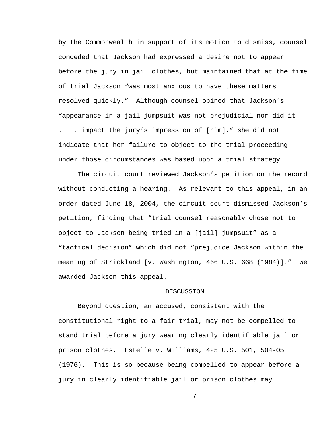by the Commonwealth in support of its motion to dismiss, counsel conceded that Jackson had expressed a desire not to appear before the jury in jail clothes, but maintained that at the time of trial Jackson "was most anxious to have these matters resolved quickly." Although counsel opined that Jackson's "appearance in a jail jumpsuit was not prejudicial nor did it . . . impact the jury's impression of [him]," she did not indicate that her failure to object to the trial proceeding under those circumstances was based upon a trial strategy.

The circuit court reviewed Jackson's petition on the record without conducting a hearing. As relevant to this appeal, in an order dated June 18, 2004, the circuit court dismissed Jackson's petition, finding that "trial counsel reasonably chose not to object to Jackson being tried in a [jail] jumpsuit" as a "tactical decision" which did not "prejudice Jackson within the meaning of Strickland [v. Washington, 466 U.S. 668 (1984)]." We awarded Jackson this appeal.

#### DISCUSSION

Beyond question, an accused, consistent with the constitutional right to a fair trial, may not be compelled to stand trial before a jury wearing clearly identifiable jail or prison clothes. Estelle v. Williams, 425 U.S. 501, 504-05 (1976). This is so because being compelled to appear before a jury in clearly identifiable jail or prison clothes may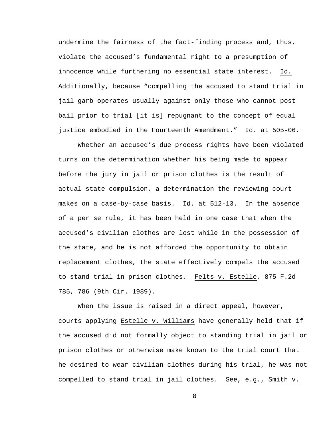undermine the fairness of the fact-finding process and, thus, violate the accused's fundamental right to a presumption of innocence while furthering no essential state interest. Id. Additionally, because "compelling the accused to stand trial in jail garb operates usually against only those who cannot post bail prior to trial [it is] repugnant to the concept of equal justice embodied in the Fourteenth Amendment." Id. at 505-06.

Whether an accused's due process rights have been violated turns on the determination whether his being made to appear before the jury in jail or prison clothes is the result of actual state compulsion, a determination the reviewing court makes on a case-by-case basis. Id. at 512-13. In the absence of a per se rule, it has been held in one case that when the accused's civilian clothes are lost while in the possession of the state, and he is not afforded the opportunity to obtain replacement clothes, the state effectively compels the accused to stand trial in prison clothes. Felts v. Estelle, 875 F.2d 785, 786 (9th Cir. 1989).

When the issue is raised in a direct appeal, however, courts applying Estelle v. Williams have generally held that if the accused did not formally object to standing trial in jail or prison clothes or otherwise make known to the trial court that he desired to wear civilian clothes during his trial, he was not compelled to stand trial in jail clothes. See, e.g., Smith v.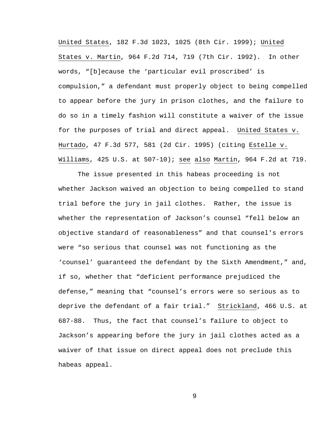United States, 182 F.3d 1023, 1025 (8th Cir. 1999); United States v. Martin, 964 F.2d 714, 719 (7th Cir. 1992). In other words, "[b]ecause the 'particular evil proscribed' is compulsion," a defendant must properly object to being compelled to appear before the jury in prison clothes, and the failure to do so in a timely fashion will constitute a waiver of the issue for the purposes of trial and direct appeal. United States v. Hurtado, 47 F.3d 577, 581 (2d Cir. 1995) (citing Estelle v. Williams, 425 U.S. at 507-10); see also Martin, 964 F.2d at 719.

The issue presented in this habeas proceeding is not whether Jackson waived an objection to being compelled to stand trial before the jury in jail clothes. Rather, the issue is whether the representation of Jackson's counsel "fell below an objective standard of reasonableness" and that counsel's errors were "so serious that counsel was not functioning as the 'counsel' guaranteed the defendant by the Sixth Amendment," and, if so, whether that "deficient performance prejudiced the defense," meaning that "counsel's errors were so serious as to deprive the defendant of a fair trial." Strickland, 466 U.S. at 687-88. Thus, the fact that counsel's failure to object to Jackson's appearing before the jury in jail clothes acted as a waiver of that issue on direct appeal does not preclude this habeas appeal.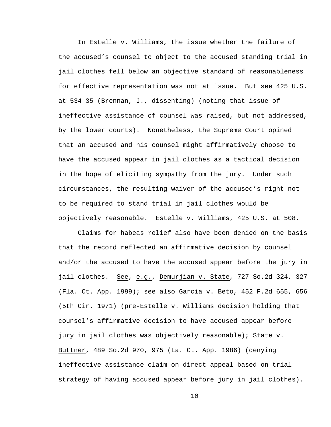In Estelle v. Williams, the issue whether the failure of the accused's counsel to object to the accused standing trial in jail clothes fell below an objective standard of reasonableness for effective representation was not at issue. But see 425 U.S. at 534-35 (Brennan, J., dissenting) (noting that issue of ineffective assistance of counsel was raised, but not addressed, by the lower courts). Nonetheless, the Supreme Court opined that an accused and his counsel might affirmatively choose to have the accused appear in jail clothes as a tactical decision in the hope of eliciting sympathy from the jury. Under such circumstances, the resulting waiver of the accused's right not to be required to stand trial in jail clothes would be objectively reasonable. Estelle v. Williams, 425 U.S. at 508.

Claims for habeas relief also have been denied on the basis that the record reflected an affirmative decision by counsel and/or the accused to have the accused appear before the jury in jail clothes. See, e.g., Demurjian v. State, 727 So.2d 324, 327 (Fla. Ct. App. 1999); see also Garcia v. Beto, 452 F.2d 655, 656 (5th Cir. 1971) (pre-Estelle v. Williams decision holding that counsel's affirmative decision to have accused appear before jury in jail clothes was objectively reasonable); State v. Buttner, 489 So.2d 970, 975 (La. Ct. App. 1986) (denying ineffective assistance claim on direct appeal based on trial strategy of having accused appear before jury in jail clothes).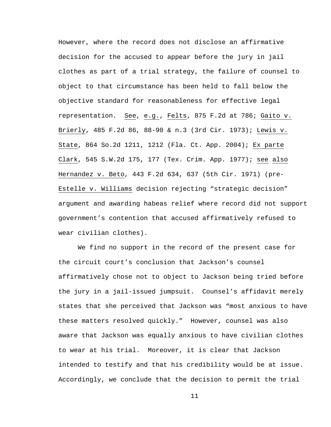However, where the record does not disclose an affirmative decision for the accused to appear before the jury in jail clothes as part of a trial strategy, the failure of counsel to object to that circumstance has been held to fall below the objective standard for reasonableness for effective legal representation. See, e.g., Felts, 875 F.2d at 786; Gaito v. Brierly, 485 F.2d 86, 88-90 & n.3 (3rd Cir. 1973); Lewis v. State, 864 So.2d 1211, 1212 (Fla. Ct. App. 2004); Ex parte Clark, 545 S.W.2d 175, 177 (Tex. Crim. App. 1977); see also Hernandez v. Beto, 443 F.2d 634, 637 (5th Cir. 1971) (pre-Estelle v. Williams decision rejecting "strategic decision" argument and awarding habeas relief where record did not support government's contention that accused affirmatively refused to wear civilian clothes).

We find no support in the record of the present case for the circuit court's conclusion that Jackson's counsel affirmatively chose not to object to Jackson being tried before the jury in a jail-issued jumpsuit. Counsel's affidavit merely states that she perceived that Jackson was "most anxious to have these matters resolved quickly." However, counsel was also aware that Jackson was equally anxious to have civilian clothes to wear at his trial. Moreover, it is clear that Jackson intended to testify and that his credibility would be at issue. Accordingly, we conclude that the decision to permit the trial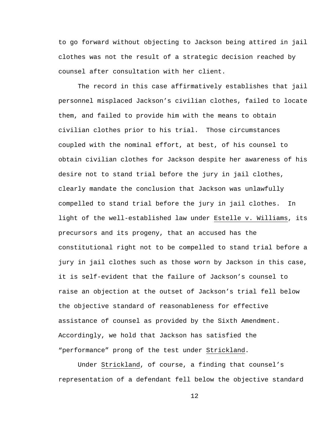to go forward without objecting to Jackson being attired in jail clothes was not the result of a strategic decision reached by counsel after consultation with her client.

The record in this case affirmatively establishes that jail personnel misplaced Jackson's civilian clothes, failed to locate them, and failed to provide him with the means to obtain civilian clothes prior to his trial. Those circumstances coupled with the nominal effort, at best, of his counsel to obtain civilian clothes for Jackson despite her awareness of his desire not to stand trial before the jury in jail clothes, clearly mandate the conclusion that Jackson was unlawfully compelled to stand trial before the jury in jail clothes. In light of the well-established law under Estelle v. Williams, its precursors and its progeny, that an accused has the constitutional right not to be compelled to stand trial before a jury in jail clothes such as those worn by Jackson in this case, it is self-evident that the failure of Jackson's counsel to raise an objection at the outset of Jackson's trial fell below the objective standard of reasonableness for effective assistance of counsel as provided by the Sixth Amendment. Accordingly, we hold that Jackson has satisfied the "performance" prong of the test under Strickland.

Under Strickland, of course, a finding that counsel's representation of a defendant fell below the objective standard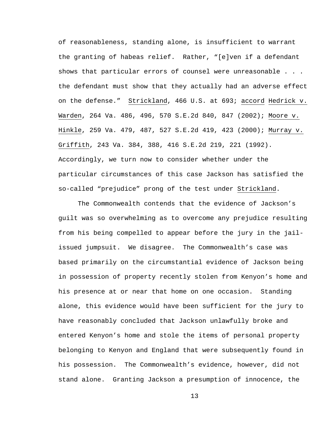of reasonableness, standing alone, is insufficient to warrant the granting of habeas relief. Rather, "[e]ven if a defendant shows that particular errors of counsel were unreasonable . . . the defendant must show that they actually had an adverse effect on the defense." Strickland, 466 U.S. at 693; accord Hedrick v. Warden, 264 Va. 486, 496, 570 S.E.2d 840, 847 (2002); Moore v. Hinkle, 259 Va. 479, 487, 527 S.E.2d 419, 423 (2000); Murray v. Griffith, 243 Va. 384, 388, 416 S.E.2d 219, 221 (1992). Accordingly, we turn now to consider whether under the particular circumstances of this case Jackson has satisfied the so-called "prejudice" prong of the test under Strickland.

The Commonwealth contends that the evidence of Jackson's guilt was so overwhelming as to overcome any prejudice resulting from his being compelled to appear before the jury in the jailissued jumpsuit. We disagree. The Commonwealth's case was based primarily on the circumstantial evidence of Jackson being in possession of property recently stolen from Kenyon's home and his presence at or near that home on one occasion. Standing alone, this evidence would have been sufficient for the jury to have reasonably concluded that Jackson unlawfully broke and entered Kenyon's home and stole the items of personal property belonging to Kenyon and England that were subsequently found in his possession. The Commonwealth's evidence, however, did not stand alone. Granting Jackson a presumption of innocence, the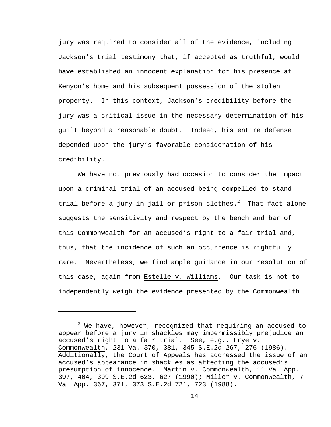jury was required to consider all of the evidence, including Jackson's trial testimony that, if accepted as truthful, would have established an innocent explanation for his presence at Kenyon's home and his subsequent possession of the stolen property. In this context, Jackson's credibility before the jury was a critical issue in the necessary determination of his guilt beyond a reasonable doubt. Indeed, his entire defense depended upon the jury's favorable consideration of his credibility.

We have not previously had occasion to consider the impact upon a criminal trial of an accused being compelled to stand trial before a jury in jail or prison clothes. $^2$  That fact alone suggests the sensitivity and respect by the bench and bar of this Commonwealth for an accused's right to a fair trial and, thus, that the incidence of such an occurrence is rightfully rare. Nevertheless, we find ample guidance in our resolution of this case, again from Estelle v. Williams. Our task is not to independently weigh the evidence presented by the Commonwealth

i<br>Li

 $^2$  We have, however, recognized that requiring an accused to appear before a jury in shackles may impermissibly prejudice an accused's right to a fair trial. See, e.g., Frye v. Commonwealth, 231 Va. 370, 381, 345 S.E.2d 267, 276 (1986). Additionally, the Court of Appeals has addressed the issue of an accused's appearance in shackles as affecting the accused's presumption of innocence. Martin v. Commonwealth, 11 Va. App. 397, 404, 399 S.E.2d 623, 627 (1990); Miller v. Commonwealth, 7 Va. App. 367, 371, 373 S.E.2d 721, 723 (1988).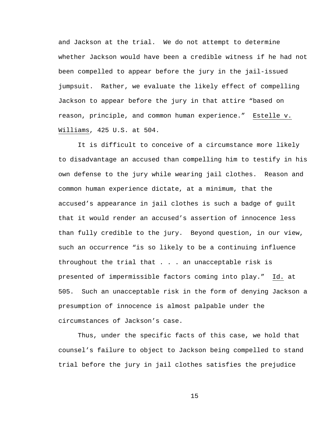and Jackson at the trial. We do not attempt to determine whether Jackson would have been a credible witness if he had not been compelled to appear before the jury in the jail-issued jumpsuit. Rather, we evaluate the likely effect of compelling Jackson to appear before the jury in that attire "based on reason, principle, and common human experience." Estelle v. Williams, 425 U.S. at 504.

It is difficult to conceive of a circumstance more likely to disadvantage an accused than compelling him to testify in his own defense to the jury while wearing jail clothes. Reason and common human experience dictate, at a minimum, that the accused's appearance in jail clothes is such a badge of guilt that it would render an accused's assertion of innocence less than fully credible to the jury. Beyond question, in our view, such an occurrence "is so likely to be a continuing influence throughout the trial that . . . an unacceptable risk is presented of impermissible factors coming into play." Id. at 505. Such an unacceptable risk in the form of denying Jackson a presumption of innocence is almost palpable under the circumstances of Jackson's case.

Thus, under the specific facts of this case, we hold that counsel's failure to object to Jackson being compelled to stand trial before the jury in jail clothes satisfies the prejudice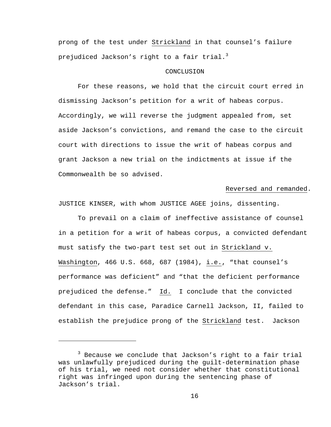prong of the test under Strickland in that counsel's failure prejudiced Jackson's right to a fair trial.<sup>3</sup>

## CONCLUSION

For these reasons, we hold that the circuit court erred in dismissing Jackson's petition for a writ of habeas corpus. Accordingly, we will reverse the judgment appealed from, set aside Jackson's convictions, and remand the case to the circuit court with directions to issue the writ of habeas corpus and grant Jackson a new trial on the indictments at issue if the Commonwealth be so advised.

### Reversed and remanded.

JUSTICE KINSER, with whom JUSTICE AGEE joins, dissenting.

To prevail on a claim of ineffective assistance of counsel in a petition for a writ of habeas corpus, a convicted defendant must satisfy the two-part test set out in Strickland v. Washington, 466 U.S. 668, 687 (1984), i.e., "that counsel's performance was deficient" and "that the deficient performance prejudiced the defense." Id. I conclude that the convicted defendant in this case, Paradice Carnell Jackson, II, failed to establish the prejudice prong of the Strickland test. Jackson

 $\overline{\phantom{0}}$ 

<sup>&</sup>lt;sup>3</sup> Because we conclude that Jackson's right to a fair trial was unlawfully prejudiced during the guilt-determination phase of his trial, we need not consider whether that constitutional right was infringed upon during the sentencing phase of Jackson's trial.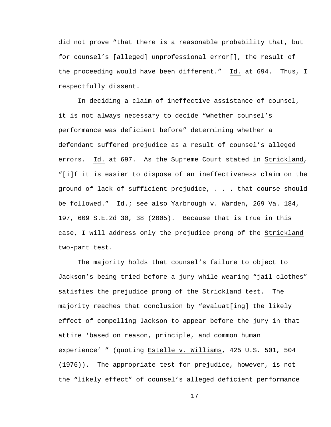did not prove "that there is a reasonable probability that, but for counsel's [alleged] unprofessional error[], the result of the proceeding would have been different." Id. at 694. Thus, I respectfully dissent.

In deciding a claim of ineffective assistance of counsel, it is not always necessary to decide "whether counsel's performance was deficient before" determining whether a defendant suffered prejudice as a result of counsel's alleged errors. Id. at 697. As the Supreme Court stated in Strickland, "[i]f it is easier to dispose of an ineffectiveness claim on the ground of lack of sufficient prejudice, . . . that course should be followed." Id.; see also Yarbrough v. Warden, 269 Va. 184, 197, 609 S.E.2d 30, 38 (2005). Because that is true in this case, I will address only the prejudice prong of the Strickland two-part test.

The majority holds that counsel's failure to object to Jackson's being tried before a jury while wearing "jail clothes" satisfies the prejudice prong of the Strickland test. The majority reaches that conclusion by "evaluat[ing] the likely effect of compelling Jackson to appear before the jury in that attire 'based on reason, principle, and common human experience' " (quoting Estelle v. Williams, 425 U.S. 501, 504 (1976)). The appropriate test for prejudice, however, is not the "likely effect" of counsel's alleged deficient performance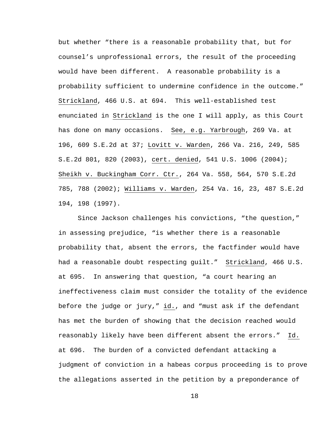but whether "there is a reasonable probability that, but for counsel's unprofessional errors, the result of the proceeding would have been different. A reasonable probability is a probability sufficient to undermine confidence in the outcome." Strickland, 466 U.S. at 694. This well-established test enunciated in Strickland is the one I will apply, as this Court has done on many occasions. See, e.g. Yarbrough, 269 Va. at 196, 609 S.E.2d at 37; Lovitt v. Warden, 266 Va. 216, 249, 585 S.E.2d 801, 820 (2003), cert. denied, 541 U.S. 1006 (2004); Sheikh v. Buckingham Corr. Ctr., 264 Va. 558, 564, 570 S.E.2d 785, 788 (2002); Williams v. Warden, 254 Va. 16, 23, 487 S.E.2d 194, 198 (1997).

Since Jackson challenges his convictions, "the question," in assessing prejudice, "is whether there is a reasonable probability that, absent the errors, the factfinder would have had a reasonable doubt respecting guilt." Strickland, 466 U.S. at 695. In answering that question, "a court hearing an ineffectiveness claim must consider the totality of the evidence before the judge or jury," id., and "must ask if the defendant has met the burden of showing that the decision reached would reasonably likely have been different absent the errors." Id. at 696. The burden of a convicted defendant attacking a judgment of conviction in a habeas corpus proceeding is to prove the allegations asserted in the petition by a preponderance of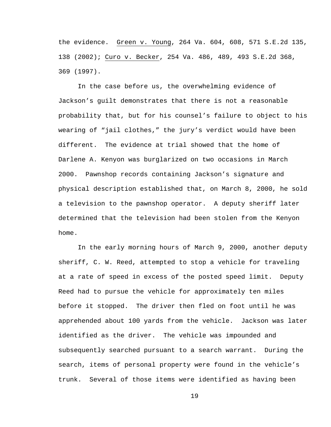the evidence. Green v. Young, 264 Va. 604, 608, 571 S.E.2d 135, 138 (2002); Curo v. Becker, 254 Va. 486, 489, 493 S.E.2d 368, 369 (1997).

In the case before us, the overwhelming evidence of Jackson's guilt demonstrates that there is not a reasonable probability that, but for his counsel's failure to object to his wearing of "jail clothes," the jury's verdict would have been different. The evidence at trial showed that the home of Darlene A. Kenyon was burglarized on two occasions in March 2000. Pawnshop records containing Jackson's signature and physical description established that, on March 8, 2000, he sold a television to the pawnshop operator. A deputy sheriff later determined that the television had been stolen from the Kenyon home.

In the early morning hours of March 9, 2000, another deputy sheriff, C. W. Reed, attempted to stop a vehicle for traveling at a rate of speed in excess of the posted speed limit. Deputy Reed had to pursue the vehicle for approximately ten miles before it stopped. The driver then fled on foot until he was apprehended about 100 yards from the vehicle. Jackson was later identified as the driver. The vehicle was impounded and subsequently searched pursuant to a search warrant. During the search, items of personal property were found in the vehicle's trunk. Several of those items were identified as having been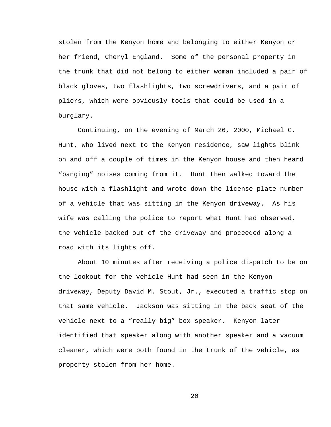stolen from the Kenyon home and belonging to either Kenyon or her friend, Cheryl England. Some of the personal property in the trunk that did not belong to either woman included a pair of black gloves, two flashlights, two screwdrivers, and a pair of pliers, which were obviously tools that could be used in a burglary.

Continuing, on the evening of March 26, 2000, Michael G. Hunt, who lived next to the Kenyon residence, saw lights blink on and off a couple of times in the Kenyon house and then heard "banging" noises coming from it. Hunt then walked toward the house with a flashlight and wrote down the license plate number of a vehicle that was sitting in the Kenyon driveway. As his wife was calling the police to report what Hunt had observed, the vehicle backed out of the driveway and proceeded along a road with its lights off.

About 10 minutes after receiving a police dispatch to be on the lookout for the vehicle Hunt had seen in the Kenyon driveway, Deputy David M. Stout, Jr., executed a traffic stop on that same vehicle. Jackson was sitting in the back seat of the vehicle next to a "really big" box speaker. Kenyon later identified that speaker along with another speaker and a vacuum cleaner, which were both found in the trunk of the vehicle, as property stolen from her home.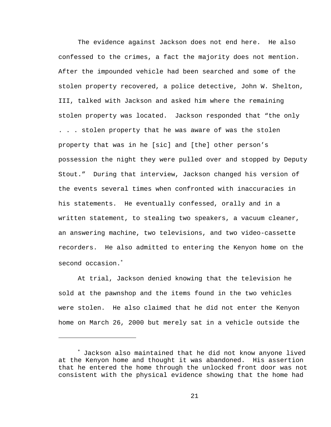The evidence against Jackson does not end here. He also confessed to the crimes, a fact the majority does not mention. After the impounded vehicle had been searched and some of the stolen property recovered, a police detective, John W. Shelton, III, talked with Jackson and asked him where the remaining stolen property was located. Jackson responded that "the only . . . stolen property that he was aware of was the stolen property that was in he [sic] and [the] other person's possession the night they were pulled over and stopped by Deputy Stout." During that interview, Jackson changed his version of the events several times when confronted with inaccuracies in his statements. He eventually confessed, orally and in a written statement, to stealing two speakers, a vacuum cleaner, an answering machine, two televisions, and two video-cassette recorders. He also admitted to entering the Kenyon home on the second occasion.<sup>\*</sup>

At trial, Jackson denied knowing that the television he sold at the pawnshop and the items found in the two vehicles were stolen. He also claimed that he did not enter the Kenyon home on March 26, 2000 but merely sat in a vehicle outside the

i<br>Li

<sup>∗</sup> Jackson also maintained that he did not know anyone lived at the Kenyon home and thought it was abandoned. His assertion that he entered the home through the unlocked front door was not consistent with the physical evidence showing that the home had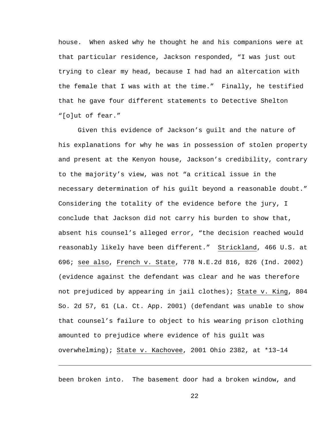house. When asked why he thought he and his companions were at that particular residence, Jackson responded, "I was just out trying to clear my head, because I had had an altercation with the female that I was with at the time." Finally, he testified that he gave four different statements to Detective Shelton "[o]ut of fear."

Given this evidence of Jackson's guilt and the nature of his explanations for why he was in possession of stolen property and present at the Kenyon house, Jackson's credibility, contrary to the majority's view, was not "a critical issue in the necessary determination of his guilt beyond a reasonable doubt." Considering the totality of the evidence before the jury, I conclude that Jackson did not carry his burden to show that, absent his counsel's alleged error, "the decision reached would reasonably likely have been different." Strickland, 466 U.S. at 696; see also, French v. State, 778 N.E.2d 816, 826 (Ind. 2002) (evidence against the defendant was clear and he was therefore not prejudiced by appearing in jail clothes); State v. King, 804 So. 2d 57, 61 (La. Ct. App. 2001) (defendant was unable to show that counsel's failure to object to his wearing prison clothing amounted to prejudice where evidence of his guilt was overwhelming); State v. Kachovee, 2001 Ohio 2382, at \*13–14

been broken into. The basement door had a broken window, and

 $\overline{\phantom{0}}$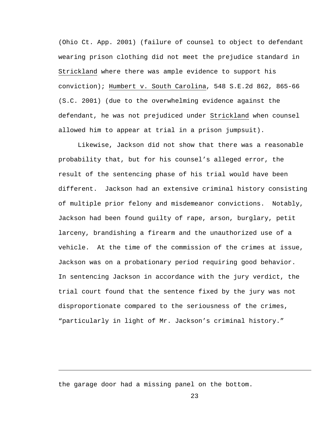(Ohio Ct. App. 2001) (failure of counsel to object to defendant wearing prison clothing did not meet the prejudice standard in Strickland where there was ample evidence to support his conviction); Humbert v. South Carolina, 548 S.E.2d 862, 865-66 (S.C. 2001) (due to the overwhelming evidence against the defendant, he was not prejudiced under Strickland when counsel allowed him to appear at trial in a prison jumpsuit).

Likewise, Jackson did not show that there was a reasonable probability that, but for his counsel's alleged error, the result of the sentencing phase of his trial would have been different. Jackson had an extensive criminal history consisting of multiple prior felony and misdemeanor convictions. Notably, Jackson had been found guilty of rape, arson, burglary, petit larceny, brandishing a firearm and the unauthorized use of a vehicle. At the time of the commission of the crimes at issue, Jackson was on a probationary period requiring good behavior. In sentencing Jackson in accordance with the jury verdict, the trial court found that the sentence fixed by the jury was not disproportionate compared to the seriousness of the crimes, "particularly in light of Mr. Jackson's criminal history."

the garage door had a missing panel on the bottom.

i<br>Li